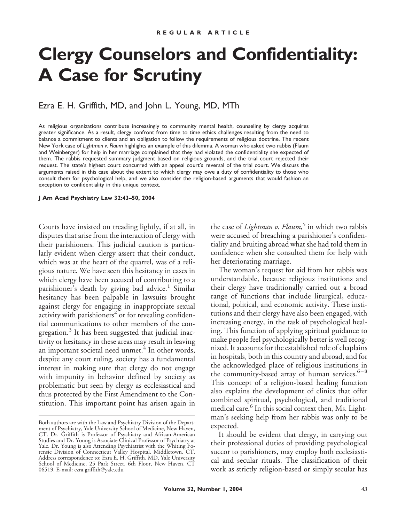# **Clergy Counselors and Confidentiality: A Case for Scrutiny**

## Ezra E. H. Griffith, MD, and John L. Young, MD, MTh

As religious organizations contribute increasingly to community mental health, counseling by clergy acquires greater significance. As a result, clergy confront from time to time ethics challenges resulting from the need to balance a commitment to clients and an obligation to follow the requirements of religious doctrine. The recent New York case of *Lightman v. Flaum* highlights an example of this dilemma. A woman who asked two rabbis (Flaum and Weinberger) for help in her marriage complained that they had violated the confidentiality she expected of them. The rabbis requested summary judgment based on religious grounds, and the trial court rejected their request. The state's highest court concurred with an appeal court's reversal of the trial court. We discuss the arguments raised in this case about the extent to which clergy may owe a duty of confidentiality to those who consult them for psychological help, and we also consider the religion-based arguments that would fashion an exception to confidentiality in this unique context.

#### **J Am Acad Psychiatry Law 32:43–50, 2004**

Courts have insisted on treading lightly, if at all, in disputes that arise from the interaction of clergy with their parishioners. This judicial caution is particularly evident when clergy assert that their conduct, which was at the heart of the quarrel, was of a religious nature. We have seen this hesitancy in cases in which clergy have been accused of contributing to a parishioner's death by giving bad advice.<sup>1</sup> Similar hesitancy has been palpable in lawsuits brought against clergy for engaging in inappropriate sexual activity with parishioners<sup>2</sup> or for revealing confidential communications to other members of the congregation.<sup>3</sup> It has been suggested that judicial inactivity or hesitancy in these areas may result in leaving an important societal need unmet.<sup>4</sup> In other words, despite any court ruling, society has a fundamental interest in making sure that clergy do not engage with impunity in behavior defined by society as problematic but seen by clergy as ecclesiastical and thus protected by the First Amendment to the Constitution. This important point has arisen again in

the case of *Lightman v. Flaum*, <sup>5</sup> in which two rabbis were accused of breaching a parishioner's confidentiality and bruiting abroad what she had told them in confidence when she consulted them for help with her deteriorating marriage.

The woman's request for aid from her rabbis was understandable, because religious institutions and their clergy have traditionally carried out a broad range of functions that include liturgical, educational, political, and economic activity. These institutions and their clergy have also been engaged, with increasing energy, in the task of psychological healing. This function of applying spiritual guidance to make people feel psychologically better is well recognized. It accounts for the established role of chaplains in hospitals, both in this country and abroad, and for the acknowledged place of religious institutions in the community-based array of human services. $6-8$ This concept of a religion-based healing function also explains the development of clinics that offer combined spiritual, psychological, and traditional medical care.<sup>6</sup> In this social context then, Ms. Lightman's seeking help from her rabbis was only to be expected.

It should be evident that clergy, in carrying out their professional duties of providing psychological succor to parishioners, may employ both ecclesiastical and secular rituals. The classification of their work as strictly religion-based or simply secular has

Both authors are with the Law and Psychiatry Division of the Department of Psychiatry, Yale University School of Medicine, New Haven, CT. Dr. Griffith is Professor of Psychiatry and African-American Studies and Dr. Young is Associate Clinical Professor of Psychiatry at Yale. Dr. Young is also Attending Psychiatrist with the Whiting Forensic Division of Connecticut Valley Hospital, Middletown, CT. Address correspondence to: Ezra E. H. Griffith, MD, Yale University School of Medicine, 25 Park Street, 6th Floor, New Haven, CT 06519. E-mail: ezra.griffith@yale.edu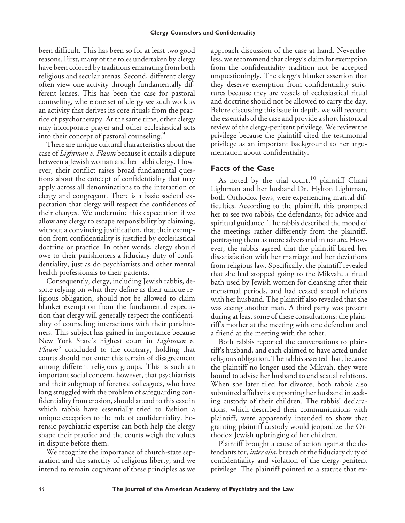been difficult. This has been so for at least two good reasons. First, many of the roles undertaken by clergy have been colored by traditions emanating from both religious and secular arenas. Second, different clergy often view one activity through fundamentally different lenses. This has been the case for pastoral counseling, where one set of clergy see such work as an activity that derives its core rituals from the practice of psychotherapy. At the same time, other clergy may incorporate prayer and other ecclesiastical acts into their concept of pastoral counseling.<sup>9</sup>

There are unique cultural characteristics about the case of *Lightman v. Flaum* because it entails a dispute between a Jewish woman and her rabbi clergy. However, their conflict raises broad fundamental questions about the concept of confidentiality that may apply across all denominations to the interaction of clergy and congregant. There is a basic societal expectation that clergy will respect the confidences of their charges. We undermine this expectation if we allow any clergy to escape responsibility by claiming, without a convincing justification, that their exemption from confidentiality is justified by ecclesiastical doctrine or practice. In other words, clergy should owe to their parishioners a fiduciary duty of confidentiality, just as do psychiatrists and other mental health professionals to their patients.

Consequently, clergy, including Jewish rabbis, despite relying on what they define as their unique religious obligation, should not be allowed to claim blanket exemption from the fundamental expectation that clergy will generally respect the confidentiality of counseling interactions with their parishioners. This subject has gained in importance because New York State's highest court in *Lightman v. Flaum*<sup>3</sup> concluded to the contrary, holding that courts should not enter this terrain of disagreement among different religious groups. This is such an important social concern, however, that psychiatrists and their subgroup of forensic colleagues, who have long struggled with the problem of safeguarding confidentiality from erosion, should attend to this case in which rabbis have essentially tried to fashion a unique exception to the rule of confidentiality. Forensic psychiatric expertise can both help the clergy shape their practice and the courts weigh the values in dispute before them.

We recognize the importance of church-state separation and the sanctity of religious liberty, and we intend to remain cognizant of these principles as we approach discussion of the case at hand. Nevertheless, we recommend that clergy's claim for exemption from the confidentiality tradition not be accepted unquestioningly. The clergy's blanket assertion that they deserve exemption from confidentiality strictures because they are vessels of ecclesiastical ritual and doctrine should not be allowed to carry the day. Before discussing this issue in depth, we will recount the essentials of the case and provide a short historical review of the clergy-penitent privilege. We review the privilege because the plaintiff cited the testimonial privilege as an important background to her argumentation about confidentiality.

## **Facts of the Case**

As noted by the trial court,<sup>10</sup> plaintiff Chani Lightman and her husband Dr. Hylton Lightman, both Orthodox Jews, were experiencing marital difficulties. According to the plaintiff, this prompted her to see two rabbis, the defendants, for advice and spiritual guidance. The rabbis described the mood of the meetings rather differently from the plaintiff, portraying them as more adversarial in nature. However, the rabbis agreed that the plaintiff bared her dissatisfaction with her marriage and her deviations from religious law. Specifically, the plaintiff revealed that she had stopped going to the Mikvah, a ritual bath used by Jewish women for cleansing after their menstrual periods, and had ceased sexual relations with her husband. The plaintiff also revealed that she was seeing another man. A third party was present during at least some of these consultations: the plaintiff's mother at the meeting with one defendant and a friend at the meeting with the other.

Both rabbis reported the conversations to plaintiff's husband, and each claimed to have acted under religious obligation. The rabbis asserted that, because the plaintiff no longer used the Mikvah, they were bound to advise her husband to end sexual relations. When she later filed for divorce, both rabbis also submitted affidavits supporting her husband in seeking custody of their children. The rabbis' declarations, which described their communications with plaintiff, were apparently intended to show that granting plaintiff custody would jeopardize the Orthodox Jewish upbringing of her children.

Plaintiff brought a cause of action against the defendants for, *inter alia*, breach of the fiduciary duty of confidentiality and violation of the clergy-penitent privilege. The plaintiff pointed to a statute that ex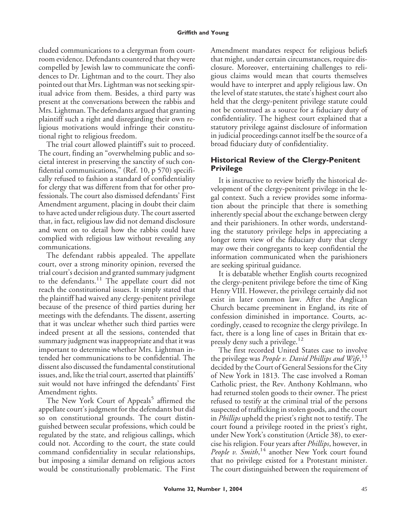cluded communications to a clergyman from courtroom evidence. Defendants countered that they were compelled by Jewish law to communicate the confidences to Dr. Lightman and to the court. They also pointed out that Mrs. Lightman was not seeking spiritual advice from them. Besides, a third party was present at the conversations between the rabbis and Mrs. Lightman. The defendants argued that granting plaintiff such a right and disregarding their own religious motivations would infringe their constitutional right to religious freedom.

The trial court allowed plaintiff's suit to proceed. The court, finding an "overwhelming public and societal interest in preserving the sanctity of such confidential communications," (Ref. 10, p 570) specifically refused to fashion a standard of confidentiality for clergy that was different from that for other professionals. The court also dismissed defendants' First Amendment argument, placing in doubt their claim to have acted under religious duty. The court asserted that, in fact, religious law did not demand disclosure and went on to detail how the rabbis could have complied with religious law without revealing any communications.

The defendant rabbis appealed. The appellate court, over a strong minority opinion, reversed the trial court's decision and granted summary judgment to the defendants.<sup>11</sup> The appellate court did not reach the constitutional issues. It simply stated that the plaintiff had waived any clergy-penitent privilege because of the presence of third parties during her meetings with the defendants. The dissent, asserting that it was unclear whether such third parties were indeed present at all the sessions, contended that summary judgment was inappropriate and that it was important to determine whether Mrs. Lightman intended her communications to be confidential. The dissent also discussed the fundamental constitutional issues, and, like the trial court, asserted that plaintiffs' suit would not have infringed the defendants' First Amendment rights.

The New York Court of Appeals<sup>5</sup> affirmed the appellate court's judgment for the defendants but did so on constitutional grounds. The court distinguished between secular professions, which could be regulated by the state, and religious callings, which could not. According to the court, the state could command confidentiality in secular relationships, but imposing a similar demand on religious actors would be constitutionally problematic. The First Amendment mandates respect for religious beliefs that might, under certain circumstances, require disclosure. Moreover, entertaining challenges to religious claims would mean that courts themselves would have to interpret and apply religious law. On the level of state statutes, the state's highest court also held that the clergy-penitent privilege statute could not be construed as a source for a fiduciary duty of confidentiality. The highest court explained that a statutory privilege against disclosure of information in judicial proceedings cannot itself be the source of a broad fiduciary duty of confidentiality.

# **Historical Review of the Clergy-Penitent Privilege**

It is instructive to review briefly the historical development of the clergy-penitent privilege in the legal context. Such a review provides some information about the principle that there is something inherently special about the exchange between clergy and their parishioners. In other words, understanding the statutory privilege helps in appreciating a longer term view of the fiduciary duty that clergy may owe their congregants to keep confidential the information communicated when the parishioners are seeking spiritual guidance.

It is debatable whether English courts recognized the clergy-penitent privilege before the time of King Henry VIII. However, the privilege certainly did not exist in later common law. After the Anglican Church became preeminent in England, its rite of confession diminished in importance. Courts, accordingly, ceased to recognize the clergy privilege. In fact, there is a long line of cases in Britain that expressly deny such a privilege.<sup>12</sup>

The first recorded United States case to involve the privilege was *People v. David Phillips and Wife*, 13 decided by the Court of General Sessions for the City of New York in 1813. The case involved a Roman Catholic priest, the Rev. Anthony Kohlmann, who had returned stolen goods to their owner. The priest refused to testify at the criminal trial of the persons suspected of trafficking in stolen goods, and the court in *Phillips* upheld the priest's right not to testify. The court found a privilege rooted in the priest's right, under New York's constitution (Article 38), to exercise his religion. Four years after *Phillips*, however, in People v. Smith,<sup>14</sup> another New York court found that no privilege existed for a Protestant minister. The court distinguished between the requirement of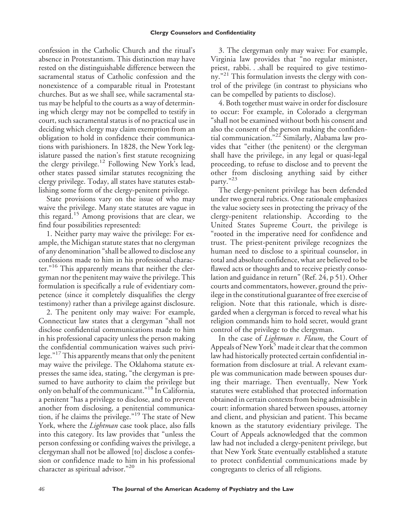confession in the Catholic Church and the ritual's absence in Protestantism. This distinction may have rested on the distinguishable difference between the sacramental status of Catholic confession and the nonexistence of a comparable ritual in Protestant churches. But as we shall see, while sacramental status may be helpful to the courts as a way of determining which clergy may not be compelled to testify in court, such sacramental status is of no practical use in deciding which clergy may claim exemption from an obligation to hold in confidence their communications with parishioners. In 1828, the New York legislature passed the nation's first statute recognizing the clergy privilege.<sup>12</sup> Following New York's lead, other states passed similar statutes recognizing the clergy privilege. Today, all states have statutes establishing some form of the clergy-penitent privilege.

State provisions vary on the issue of who may waive the privilege. Many state statutes are vague in this regard.<sup>15</sup> Among provisions that are clear, we find four possibilities represented:

1. Neither party may waive the privilege: For example, the Michigan statute states that no clergyman of any denomination "shall be allowed to disclose any confessions made to him in his professional character." <sup>16</sup> This apparently means that neither the clergyman nor the penitent may waive the privilege. This formulation is specifically a rule of evidentiary competence (since it completely disqualifies the clergy testimony) rather than a privilege against disclosure.

2. The penitent only may waive: For example, Connecticut law states that a clergyman "shall not disclose confidential communications made to him in his professional capacity unless the person making the confidential communication waives such privilege." 17This apparently means that only the penitent may waive the privilege. The Oklahoma statute expresses the same idea, stating, "the clergyman is presumed to have authority to claim the privilege but only on behalf of the communicant." <sup>18</sup> In California, a penitent "has a privilege to disclose, and to prevent another from disclosing, a penitential communication, if he claims the privilege." <sup>19</sup> The state of New York, where the *Lightman* case took place, also falls into this category. Its law provides that "unless the person confessing or confiding waives the privilege, a clergyman shall not be allowed [to] disclose a confession or confidence made to him in his professional character as spiritual advisor."<sup>20</sup>

3. The clergyman only may waive: For example, Virginia law provides that "no regular minister, priest, rabbi. . .shall be required to give testimony."<sup>21</sup> This formulation invests the clergy with control of the privilege (in contrast to physicians who can be compelled by patients to disclose).

4. Both together must waive in order for disclosure to occur: For example, in Colorado a clergyman "shall not be examined without both his consent and also the consent of the person making the confidential communication." <sup>22</sup> Similarly, Alabama law provides that "either (the penitent) or the clergyman shall have the privilege, in any legal or quasi-legal proceeding, to refuse to disclose and to prevent the other from disclosing anything said by either party." 23

The clergy-penitent privilege has been defended under two general rubrics. One rationale emphasizes the value society sees in protecting the privacy of the clergy-penitent relationship. According to the United States Supreme Court, the privilege is "rooted in the imperative need for confidence and trust. The priest-penitent privilege recognizes the human need to disclose to a spiritual counselor, in total and absolute confidence, what are believed to be flawed acts or thoughts and to receive priestly consolation and guidance in return" (Ref. 24, p 51). Other courts and commentators, however, ground the privilege in the constitutional guarantee of free exercise of religion. Note that this rationale, which is disregarded when a clergyman is forced to reveal what his religion commands him to hold secret, would grant control of the privilege to the clergyman.

In the case of *Lightman v. Flaum*, the Court of Appeals of New York<sup>5</sup> made it clear that the common law had historically protected certain confidential information from disclosure at trial. A relevant example was communication made between spouses during their marriage. Then eventually, New York statutes were established that protected information obtained in certain contexts from being admissible in court: information shared between spouses, attorney and client, and physician and patient. This became known as the statutory evidentiary privilege. The Court of Appeals acknowledged that the common law had not included a clergy-penitent privilege, but that New York State eventually established a statute to protect confidential communications made by congregants to clerics of all religions.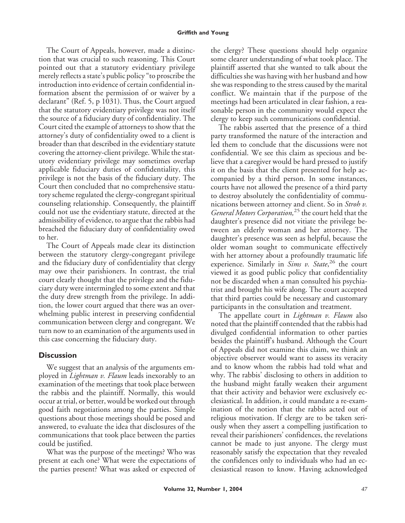The Court of Appeals, however, made a distinction that was crucial to such reasoning. This Court pointed out that a statutory evidentiary privilege merely reflects a state's public policy "to proscribe the introduction into evidence of certain confidential information absent the permission of or waiver by a declarant" (Ref. 5, p 1031). Thus, the Court argued that the statutory evidentiary privilege was not itself the source of a fiduciary duty of confidentiality. The Court cited the example of attorneys to show that the attorney's duty of confidentiality owed to a client is broader than that described in the evidentiary statute covering the attorney-client privilege. While the statutory evidentiary privilege may sometimes overlap applicable fiduciary duties of confidentiality, this privilege is not the basis of the fiduciary duty. The Court then concluded that no comprehensive statutory scheme regulated the clergy-congregant spiritual counseling relationship. Consequently, the plaintiff could not use the evidentiary statute, directed at the admissibility of evidence, to argue that the rabbis had breached the fiduciary duty of confidentiality owed to her.

The Court of Appeals made clear its distinction between the statutory clergy-congregant privilege and the fiduciary duty of confidentiality that clergy may owe their parishioners. In contrast, the trial court clearly thought that the privilege and the fiduciary duty were intermingled to some extent and that the duty drew strength from the privilege. In addition, the lower court argued that there was an overwhelming public interest in preserving confidential communication between clergy and congregant. We turn now to an examination of the arguments used in this case concerning the fiduciary duty.

## **Discussion**

We suggest that an analysis of the arguments employed in *Lightman v. Flaum* leads inexorably to an examination of the meetings that took place between the rabbis and the plaintiff. Normally, this would occur at trial, or better, would be worked out through good faith negotiations among the parties. Simple questions about those meetings should be posed and answered, to evaluate the idea that disclosures of the communications that took place between the parties could be justified.

What was the purpose of the meetings? Who was present at each one? What were the expectations of the parties present? What was asked or expected of the clergy? These questions should help organize some clearer understanding of what took place. The plaintiff asserted that she wanted to talk about the difficulties she was having with her husband and how she was responding to the stress caused by the marital conflict. We maintain that if the purpose of the meetings had been articulated in clear fashion, a reasonable person in the community would expect the clergy to keep such communications confidential.

The rabbis asserted that the presence of a third party transformed the nature of the interaction and led them to conclude that the discussions were not confidential. We see this claim as specious and believe that a caregiver would be hard pressed to justify it on the basis that the client presented for help accompanied by a third person. In some instances, courts have not allowed the presence of a third party to destroy absolutely the confidentiality of communications between attorney and client. So in *Stroh v. General Motors Corporation,*<sup>25</sup> the court held that the daughter's presence did not vitiate the privilege between an elderly woman and her attorney. The daughter's presence was seen as helpful, because the older woman sought to communicate effectively with her attorney about a profoundly traumatic life experience. Similarly in *Sims v. State*, <sup>26</sup> the court viewed it as good public policy that confidentiality not be discarded when a man consulted his psychiatrist and brought his wife along. The court accepted that third parties could be necessary and customary participants in the consultation and treatment.

The appellate court in *Lightman v. Flaum* also noted that the plaintiff contended that the rabbis had divulged confidential information to other parties besides the plaintiff's husband. Although the Court of Appeals did not examine this claim, we think an objective observer would want to assess its veracity and to know whom the rabbis had told what and why. The rabbis' disclosing to others in addition to the husband might fatally weaken their argument that their activity and behavior were exclusively ecclesiastical. In addition, it could mandate a re-examination of the notion that the rabbis acted out of religious motivation. If clergy are to be taken seriously when they assert a compelling justification to reveal their parishioners' confidences, the revelations cannot be made to just anyone. The clergy must reasonably satisfy the expectation that they revealed the confidences only to individuals who had an ecclesiastical reason to know. Having acknowledged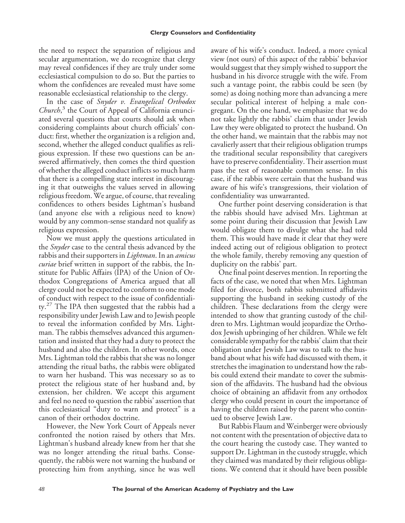the need to respect the separation of religious and secular argumentation, we do recognize that clergy may reveal confidences if they are truly under some ecclesiastical compulsion to do so. But the parties to whom the confidences are revealed must have some reasonable ecclesiastical relationship to the clergy.

In the case of *Snyder v. Evangelical Orthodox Church*, <sup>3</sup> the Court of Appeal of California enunciated several questions that courts should ask when considering complaints about church officials' conduct: first, whether the organization is a religion and, second, whether the alleged conduct qualifies as religious expression. If these two questions can be answered affirmatively, then comes the third question of whether the alleged conduct inflicts so much harm that there is a compelling state interest in discouraging it that outweighs the values served in allowing religious freedom. We argue, of course, that revealing confidences to others besides Lightman's husband (and anyone else with a religious need to know) would by any common-sense standard not qualify as religious expression.

Now we must apply the questions articulated in the *Snyder* case to the central thesis advanced by the rabbis and their supporters in *Lightman*. In an *amicus curiae* brief written in support of the rabbis, the Institute for Public Affairs (IPA) of the Union of Orthodox Congregations of America argued that all clergy could not be expected to conform to one mode of conduct with respect to the issue of confidentiality.<sup>27</sup> The IPA then suggested that the rabbis had a responsibility under Jewish Law and to Jewish people to reveal the information confided by Mrs. Lightman. The rabbis themselves advanced this argumentation and insisted that they had a duty to protect the husband and also the children. In other words, once Mrs. Lightman told the rabbis that she was no longer attending the ritual baths, the rabbis were obligated to warn her husband. This was necessary so as to protect the religious state of her husband and, by extension, her children. We accept this argument and feel no need to question the rabbis' assertion that this ecclesiastical "duty to warn and protect" is a canon of their orthodox doctrine.

However, the New York Court of Appeals never confronted the notion raised by others that Mrs. Lightman's husband already knew from her that she was no longer attending the ritual baths. Consequently, the rabbis were not warning the husband or protecting him from anything, since he was well aware of his wife's conduct. Indeed, a more cynical view (not ours) of this aspect of the rabbis' behavior would suggest that they simply wished to support the husband in his divorce struggle with the wife. From such a vantage point, the rabbis could be seen (by some) as doing nothing more than advancing a mere secular political interest of helping a male congregant. On the one hand, we emphasize that we do not take lightly the rabbis' claim that under Jewish Law they were obligated to protect the husband. On the other hand, we maintain that the rabbis may not cavalierly assert that their religious obligation trumps the traditional secular responsibility that caregivers have to preserve confidentiality. Their assertion must pass the test of reasonable common sense. In this case, if the rabbis were certain that the husband was aware of his wife's transgressions, their violation of confidentiality was unwarranted.

One further point deserving consideration is that the rabbis should have advised Mrs. Lightman at some point during their discussion that Jewish Law would obligate them to divulge what she had told them. This would have made it clear that they were indeed acting out of religious obligation to protect the whole family, thereby removing any question of duplicity on the rabbis' part.

One final point deserves mention. In reporting the facts of the case, we noted that when Mrs. Lightman filed for divorce, both rabbis submitted affidavits supporting the husband in seeking custody of the children. These declarations from the clergy were intended to show that granting custody of the children to Mrs. Lightman would jeopardize the Orthodox Jewish upbringing of her children. While we felt considerable sympathy for the rabbis' claim that their obligation under Jewish Law was to talk to the husband about what his wife had discussed with them, it stretches the imagination to understand how the rabbis could extend their mandate to cover the submission of the affidavits. The husband had the obvious choice of obtaining an affidavit from any orthodox clergy who could present in court the importance of having the children raised by the parent who continued to observe Jewish Law.

But Rabbis Flaum and Weinberger were obviously not content with the presentation of objective data to the court hearing the custody case. They wanted to support Dr. Lightman in the custody struggle, which they claimed was mandated by their religious obligations. We contend that it should have been possible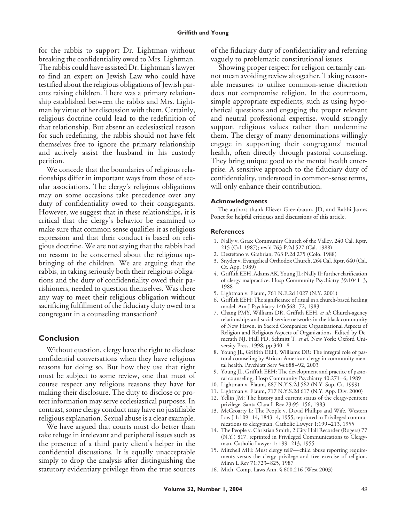for the rabbis to support Dr. Lightman without breaking the confidentiality owed to Mrs. Lightman. The rabbis could have assisted Dr. Lightman's lawyer to find an expert on Jewish Law who could have testified about the religious obligations of Jewish parents raising children. There was a primary relationship established between the rabbis and Mrs. Lightman by virtue of her discussion with them. Certainly, religious doctrine could lead to the redefinition of that relationship. But absent an ecclesiastical reason for such redefining, the rabbis should not have felt themselves free to ignore the primary relationship and actively assist the husband in his custody petition.

We concede that the boundaries of religious relationships differ in important ways from those of secular associations. The clergy's religious obligations may on some occasions take precedence over any duty of confidentiality owed to their congregants. However, we suggest that in these relationships, it is critical that the clergy's behavior be examined to make sure that common sense qualifies it as religious expression and that their conduct is based on religious doctrine. We are not saying that the rabbis had no reason to be concerned about the religious upbringing of the children. We are arguing that the rabbis, in taking seriously both their religious obligations and the duty of confidentiality owed their parishioners, needed to question themselves. Was there any way to meet their religious obligation without sacrificing fulfillment of the fiduciary duty owed to a congregant in a counseling transaction?

### **Conclusion**

Without question, clergy have the right to disclose confidential conversations when they have religious reasons for doing so. But how they use that right must be subject to some review, one that must of course respect any religious reasons they have for making their disclosure. The duty to disclose or protect information may serve ecclesiastical purposes. In contrast, some clergy conduct may have no justifiable religious explanation. Sexual abuse is a clear example.

We have argued that courts must do better than take refuge in irrelevant and peripheral issues such as the presence of a third party client's helper in the confidential discussions. It is equally unacceptable simply to drop the analysis after distinguishing the statutory evidentiary privilege from the true sources of the fiduciary duty of confidentiality and referring vaguely to problematic constitutional issues.

Showing proper respect for religion certainly cannot mean avoiding review altogether. Taking reasonable measures to utilize common-sense discretion does not compromise religion. In the courtroom, simple appropriate expedients, such as using hypothetical questions and engaging the proper relevant and neutral professional expertise, would strongly support religious values rather than undermine them. The clergy of many denominations willingly engage in supporting their congregants' mental health, often directly through pastoral counseling. They bring unique good to the mental health enterprise. A sensitive approach to the fiduciary duty of confidentiality, understood in common-sense terms, will only enhance their contribution.

#### **Acknowledgments**

The authors thank Eliezer Greenbaum, JD, and Rabbi James Ponet for helpful critiques and discussions of this article.

#### **References**

- 1. Nally v. Grace Community Church of the Valley, 240 Cal. Rptr. 215 (Cal. 1987); rev'd 763 P.2d 527 (Cal. 1988)
- 2. Destefano v. Grabrian, 763 P.2d 275 (Colo. 1988)
- 3. Snyder v. Evangelical Orthodox Church, 264 Cal. Rptr. 640 (Cal. Ct. App. 1989)
- 4. Griffith EEH, Adams AK, Young JL: Nally II: further clarification of clergy malpractice. Hosp Community Psychiatry 39:1041–3, 1988
- 5. Lightman v. Flaum, 761 N.E.2d 1027 (N.Y. 2001)
- 6. Griffith EEH: The significance of ritual in a church-based healing model. Am J Psychiatry 140:568–72, 1983
- 7. Chang PMY, Williams DR, Griffith EEH, *et al*: Church-agency relationships and social service networks in the black community of New Haven, in Sacred Companies: Organizational Aspects of Religion and Religious Aspects of Organizations. Edited by Demerath NJ, Hall PD, Schmitt T, *et al*. New York: Oxford University Press, 1998, pp 340–8
- 8. Young JL, Griffith EEH, Williams DR: The integral role of pastoral counseling by African-American clergy in community mental health. Psychiatr Serv 54:688–92, 2003
- 9. Young JL, Griffith EEH: The development and practice of pastoral counseling. Hosp Community Psychiatry 40:271–6, 1989
- 10. Lightman v. Flaum, 687 N.Y.S.2d 562 (N.Y. Sup. Ct. 1999)
- 11. Lightman v. Flaum, 717 N.Y.S.2d 617 (N.Y. App. Div. 2000)
- 12. Yellin JM: The history and current status of the clergy-penitent privilege. Santa Clara L Rev 23:95–156, 1983
- 13. McGroarty L: The People v. David Phillips and Wife. Western Law J 1:109–14, 1843–4, 1955; reprinted in Privileged communications to clergyman. Catholic Lawyer 1:199–213, 1955
- 14. The People v. Christian Smith, 2 City Hall Recorder (Rogers) 77 (N.Y.) 817, reprinted in Privileged Communications to Clergyman. Catholic Lawyer 1: 199–213, 1955
- 15. Mitchell MH: Must clergy tell?—child abuse reporting requirements versus the clergy privilege and free exercise of religion. Minn L Rev 71:723–825, 1987
- 16. Mich. Comp. Laws Ann. § 600.216 (West 2003)